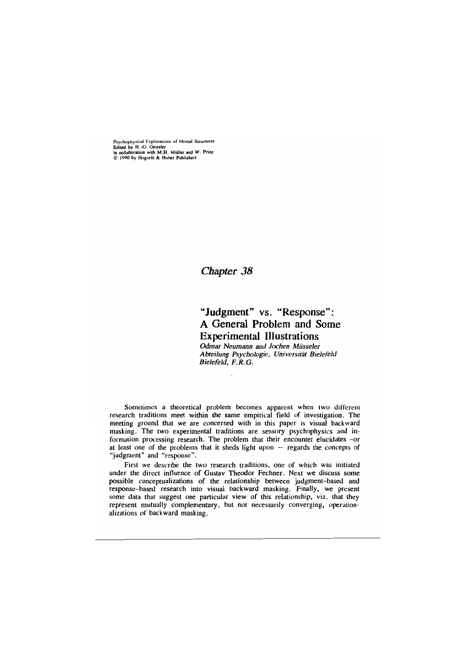Psychophysical Explorations of Mental Structures<br>Editied by H.-O. Geissler<br>in collaboration with M.H. Müller and W. Prinz<br>© 1990 by Hogrefe &: Huber Publishers

*Chapter 38* 

# **"Judgment" vs. "Response": A General Problem and Some Experimental Illustrations**

**Odmar Neumann and Jochen Müsseler** *Abteilung Psychologie, Universität Bielefeld Bielefeld.* F.R.G.

Sometimes a theoretical problem becomes apparent when two different research traditions meet within the same empirical field of investigation. The meeting ground that we are concerned with in this paper is visual backward masking. The two experimental traditions are sensory psychophysics and information processing research. The problem that their encounter elucidates -or at least one of the problems that it sheds light upon -- regards the concepts of "judgment" and "response".

First we describe the two research traditions, one of which was initiated under the direct influence of Gustav Theodor Fechner. Next we discuss some possible conceptualizations of the relationship between judgment-based and response-based research into visual backward masking. Finally, we present some data that suggest one particular view of this relationship, viz. that they represent mutually complementary, but not necessarily converging, operationalizations of backward masking.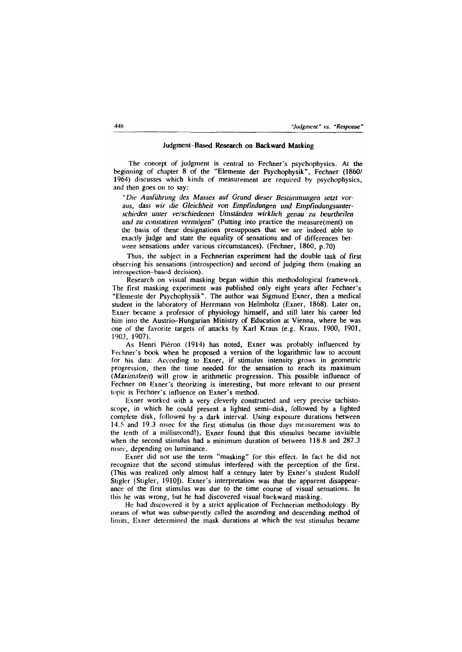### Judgment-Based Research on Backward Masling

The concept of judgment is central to Fechner's psychophysics. At the beginning of chapter 8 of the "Elemente der Psychophysik", Fechner (1860/ 1964) discusses which kinds of measurement are required by psychophysics, and then goes on to say:

*"Die Ausführung des Masses auf Grund dieser Bestimmungen setzt voraus, dass wir die Gleichheit von Empfindungen und Empfindungsunterschieden unter verschiedenen Umständen wirklich genau* zu *beurtheilen*  und zu constatiren vermögen" (Putting into practice the measure(ment) on the basis of these designations presupposes that we are indeed able to exactly judge and state the equality of sensations and of differences between sensations under various circumstances). (Fechner, 1860, p.70)

Thus, the subject in a Fechnerian experiment bad the double task of first observing his sensations (introspection) and second of judging them (making an introspection-based decision).

Research on visual masking began within this methodologieal framework. The first masking experiment was published only eight years after Fechner's "Elemente der Psychophysik". The author was Sigmund Exner, then a medieal student in the laboratory of Herrmann von Helmholtz (Exner, 1868). Later on, Exner became a professor of physiology himself, and still later his career led hirn into the Austrio-Hungarian Ministry of Education at Vienna, where he was one of the favorite targets of attaeks by Karl Kraus (e.g. Kraus, 1900, 1901, 1903, 1907).

As Henri Piéron (1914) has noted, Exner was probably influenced by Fechner's book when he proposed a version of the logarithmic law to account for his data: According to Exner, if stimulus intensity grows in geometrie progression, then the time needed for the sensation to reach its maximum *(Maximalzeit)* will grow in arithmetic progression. This possible influence of Feehner on Exner's theorizing is interesting, but more relevant to our present topic is Fechner's influence on Exner's method.

Exner worked with a very cleverly constructed and very precise tachistoscope, in whieh he could present a lighted semi-disk, followed by a Iighted complete disk, followed by a dark intervaI. Using exposure durations between  $14.5$  and  $19.3$  msec for the first stimulus (in those days measurement was to the tenth of a millisecond!). Exner found that this stimulus became invisible when the second stimulus had a minimum duration of between 118.8 and 287.3 mser, depending on luminance.

Exner did not use the term "masking" for this effect. In fact he did not recognize that the second stimulus interfered with the perception of the first. (This was realized only almost half a century laler by Exner's student Rudolf Stigler [Stigler, 1910]). Exner's interpretation was that the apparent disappearanee of the first stimulus was due to the time course of visual sensations. In this he was wrong, but he had discovered visual baekward masking.

He had discovered it by a strict application of Fechnerian methodology. By means of what was subsequently called the ascending and descending method of limits, Exner determined the mask durations at whieh the test stimulus became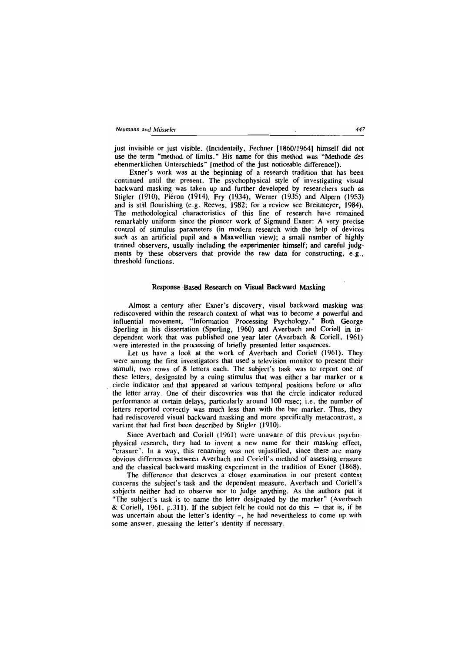## *Neumann and* Müsse/er 447

just invisible or just visible. (Incidentally, Fechner 11860/1964) himself did not use the term "method of limits." His name for this method was "Methode des ebenmerklichen Unterschieds" [method of the just noticeable difference]).

Exner's work was at the beginning of a research tradition that has been continued until the present. The psychophysical style of investigating visual backward masking was taken up and further developed by researchers such as Stigler (1910), Piéron (1914), Fry (1934), Werner (1935) and Alpern (1953) and is still flourishing (e.g. Reeves, 1982; for a review see Breitmeyer. 1984). The methodological characteristics of this line of research have remained remarkably uniform since the pioneer work of Sigmund Exner: A very precise control of stimulus parameters (in modern research with the help of devices such as an artificial pupil and a Maxwellian view); a small number of highly trained observers, usually including the experimenter himself; and careful judgments by these observers that provide the raw data for constructing. e.g., threshold functions.

# Response-Based Research on VisuaI Backward Masking

Almost a century after Exner's discovery, visual back ward masking was rediscovered within the research context of What was to become a powerful and influential movement, "Information Processing Psychology." Both George Sperling in his dissertation (Sperling, 1960) and Averbach and Coriell in independent work that was published one year later (Averbach & Coriell, 1961) were interested in the processing of briefly presented letter sequences.

Let us have a look at the work of Averbach and Coriell (1961). They were among the first investigators that used a television monitor to present their stimuli, two rows of 8 letters each. The subject's task was to report one of these letters, designated by a cuing stimulus that was either a bar marker or a circle indicator and that appeared at various temporal positions before or after the letter array. One of their discoveries was that the circle indicator reduced performance at certain delays, particularly around 100 msec; i.e. the number of letters reported correctly was much less than with the bar marker. Thus, they had rediscovered visual backward masking and more specificaJly metacontrast, a variant that had first been described by Stigler (1910).

Since Averbach and Coriell  $(1961)$  were unaware of this previous psychophysical research, they had to invent a new name for their masking effect, "erasure". In a way, this renaming was not unjustified, since there are many obvious differences between Averbach and Coriell's method of assessing erasure and the dassical backward masking experiment in the tradition of Exner (1868).

The difference that deserves a eloser examination in our present context concerns the subject's task and the dependent measure. Averbach and CorieU's subjects neither had to observe nor to judge anything. As the authors put it "The subject's task is to name the letter designated by the marker" (Averbach & Coriell, 1961, p.311). If the subject felt he could not do this  $-$  that is, if he was uncertain about the letter's identity  $-$ , he had nevertheless to come up with some answer, guessing the letter's identity if necessary.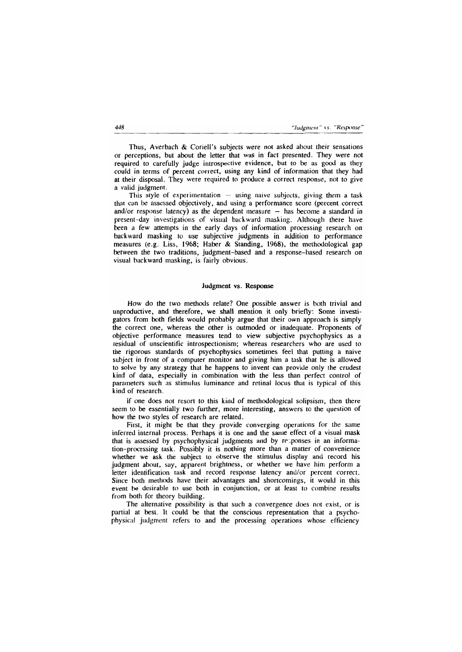**448** *Pulgment*  $\cdot$  *Pulgment*  $\cdot$  *S*  $\cdot$  *Pulgment*  $\cdot$  *S*  $\cdot$  *Pulgment*  $\cdot$  *S*  $\cdot$  *Pulgment*  $\cdot$  *S*  $\cdot$  *Pulgment*  $\cdot$  *S*  $\cdot$  *Pulgment*  $\cdot$  *S*  $\cdot$  *<i>Pulgment*  $\cdot$  *S \* 

Thus, Averbach & Coriell's subjects were not asked about their sensations or perceptions. but about the letter that was in fact presented. They were not required to carefully judge introspective evidence, but to be as good as they could in terms of percent correct, using any kind of information that they had at their disposal. They were required to produce a correct response, not to give a valid judgment.

This style of experimentation  $-$  using naive subjects, giving them a task that cun be asscssed objectively, and using a performance score (percent correct and/or response latency) as the dependent measure  $-$  has become a standard in present-day investigations of visual backward masking. Although there have been a few attempts in the early days of information processing research on backward masking to use subjective judgments in addition to performance measures (e.g. Läss, 1968; Haber & Standing, 1968), the methodological gap between the two traditions, judgment-based and a response-based research on visual backward masking, is fairly obvious.

#### Judgment vs. Response

How do the two methods relate? One possible answer is both trivial and unproductive, and therefore, we shall mention it only briefly: Some investigators from both fields would probably argue that their own approach is simply the correct one, whereas the other is outmoded or inadequate. Proponents of objective performance measures tend to view subjective psychophysics as a residual of unscientific introspectionism; whereas researchers who are used to the rigorous standards of psychophysics sometimes feel that putting a naive subject in front of a computer monitor and giving him a task that he is allowed to salve by any strategy that he happens to invent can provide only the crudest kind of data, especially in combination with the less than perfect control of parameters such as stimulus luminance and retinal locus that is typical of this kind of research.

If one does not resort to this kind of methodological solipsism, then there seem to be essentially two further, more interesting. answers to the question of how the two styles of research are related.

First, it might be that they provide converging operations for the same inferred internal process. Perhaps it is one and the same effect of a visual mask that is assessed by psychophysical judgments and by rr:ponses in an information-processing task. Possibly it is nothing more than a matter of convenience whether we ask the subject to observe the stimulus display and record his judgment about, say, apparent brightness, or whether we have hirn perform a letter identification task and record response latency and/or percent correct. Since both methods have their advantages and shortcomings, it would in this event be desirable to use both in conjunction, or at least to combine results from both for theory building.

The alternative possibility is that such a convergence does not exist, or is partial at best. It could be that the conscious representation that a psychophysical judgment refers to and the processing operations whose efficiency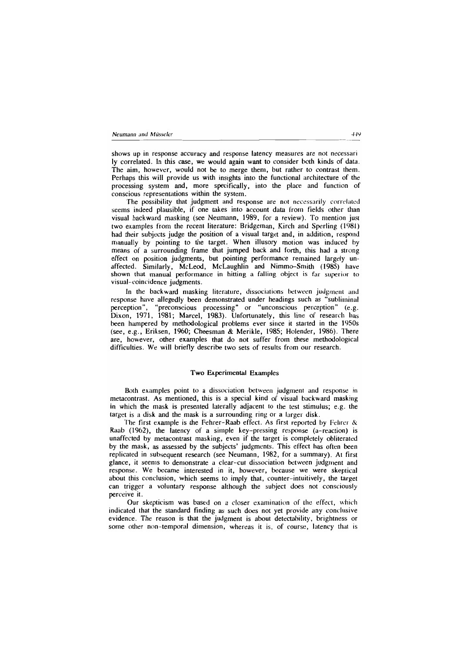#### *Neuntann ,md* Müssdcr

shows up in response accuracy and response latency measures are not necessari ly correlated. In this case, we would again want to consider both kinds of data. The aim, however, would not be to merge them, but rather to contrast them. Perhaps this will provide us with insights into the functional architecture of the processing system and, more specifically, into the place and function of conscious representations within the system.

The possibility that judgment and response are not necessarily correlated seems indeed plausible, if one takes into account data from fields other than visual backward masking (see Neumann, 1989, for a review). To mention just two examples from the recent literature: Bridgeman, Kirch and Sperling (1981) had their subjects judge the position of a visual target and, in addition, respond manually by pointing to the target. When illusory motion was induced by means of a surrounding frame that jumped back and forth, this had a strong effect on position judgments, but pointing performance remained largely unaffected. Similarly, McLeod, McLaughlin and Nimmo-Smith (1985) have shown that manual performance in hitting a falling object is far superior to visual-coincidence judgments.

In the backward masking literature, dissociations between judgment and response have allegedly been demonstrated under headings such as "subliminal perception", "preconscious processing" or "unconscious perception" (e.g. Dixon, 1971, 1981; Marcel, 1983). Unfortunately, this line of research has heen hampered by methodological problems ever since it started in the 19S0s (see, e.g., Eriksen, 1960; Cheesman & Merikle, 1985; Holender, 1986). There are, however, other exarnples that do not suffer from these methodological difticulties. We will briefly describe two sets of results from our research.

# Two Experimental Examples

Both examples point to a dissociation between judgment and response in metacontrast. As mentioned, this is a special kind of visual backward masking in which the mask is presented laterally adjacent to the test stimulus; e.g. the target is a disk and the mask is a surrounding ring or a larger disk.

The first example is the Fehrer-Raab effect. As first reported by Fehrer  $\&$ Raab (1962), the latency of a simple key-pressing response (a-reaction) is unaffected by metacontrast masking, even if the target is completely obliterated by the mask, as assessed by the subjects' judgments. This effect has often been replicated in subsequent research (see Neumann, 1982, for a summary). At first glance, it seems to demonstrate a dear-cut dissociation between judgment and response. We becarne interested in it, however, because we were skeptical about this conclusion, which seems to imply that, counter-intuitively, the target can trigger a voluntary response although the suhject does not consciously perceive it.

Our skepticism was based on a closer examination of the effect, which indicated that the standard finding as such does not yet provide any eonclusive evidence. The reason is that the judgment is about detectability, brightness or some other non-temporal dimension, whereas it is, of course, latency that is

 $4.10$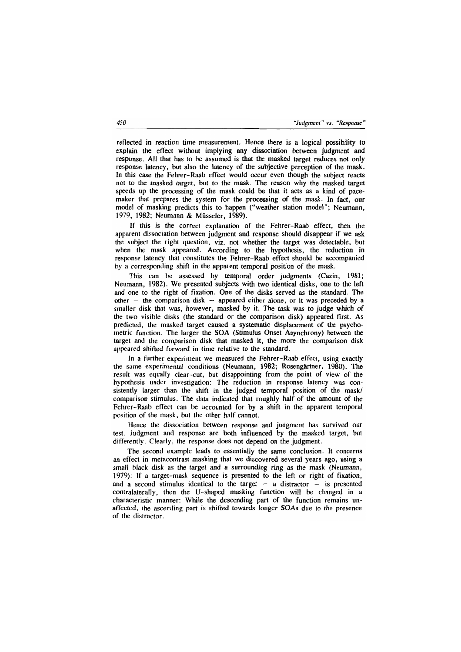reflected in reaction time measurement. Hence there is a logical possibility to explain the effect witbout implying any dissociation between judgment and response. All that has to be assumed is that the masked target reduces not only response latency, but also the latency of the subjective perception of the mask. In this case the Fehrer-Raab effect would occur even though the subject reacts not to the masked target. but to the mask. The reason why the masked target speeds up the processing of the mask could be that it aets as a kind of pacemaker that prepares the system for the processing of the mask. In fact, our model of masking predicts this to happen ("weather station model"; Neumann, 1979, 1982; Neumann & Müsseier, 1989).

If this is the correct explanation of the Fehrer-Raab effect, then the apparent dissociation between judgment and response should disappear if we ask the subjeet the right question, viz. not whether the target was detectable, but when the mask appeared. According to the hypothesis, the reduction in response latency that constitutes the Fehrer-Raab effect should be accompanied by a corresponding shift in the apparent temporal position of the mask.

This can be assessed by temporal order judgments (Cazin, 1981; Neumann, 1982). We presented subjects with two identical disks, one to the left and one to the right of fixation. One of the disks served as the standard. The other  $-$  the comparison disk  $-$  appeared either alone, or it was preceded by a smaller disk that was, however, masked by it. The task was to judge which of the two visible disks (the standard Of the comparison disk) appeared first. As predicted, the masked target eaused a systematic displacement of the psychometric function. The Jarger the SOA (Stimulus Onset Asynchrony) between the target and the comparison disk that rnasked it, the more the comparison disk appeared shifted forward in time relative to the standard.

In a further experiment we measured the Fehrer-Raab effect, using exactly the same experimental conditions (Neumann, 1982; Rosengärtner, 1980). The result was equally dear-cuf, but disappointing from the point of view of the hypothesis under invesligation: The reduction in response latency *was* consistently larger than the shift in the judged temporal position of the mask/ comparison stimulus. The data indicated that roughly half of the amount of the Fehrer-Raab effect can be accounted for by a shirt in the apparent temporal position of the mask, but the other half cannot.

Hence the dissociation between response and judgment has survived our test. Judgment and response are both influenced by the masked target, but differently. Clearly, the response does not depend on the judgment.

The second example leads to essentially the same conclusion. It concerns an effect in metacontrast masking that we discovered several years ago, using a small black disk as the target and a surrounding ring as the mask (Neumann, 1979): If a target-mask sequence is presented to the left or right of fixation, and a second stimulus identical to the target  $-$  a distractor  $-$  is presented contralaterally, then the U-shaped masking function will be changed in a characteristic manner: While the descending part of the function remains unatlected, the ascending part is shifted towards Jonger *SDAs* due to the presence of the distractor.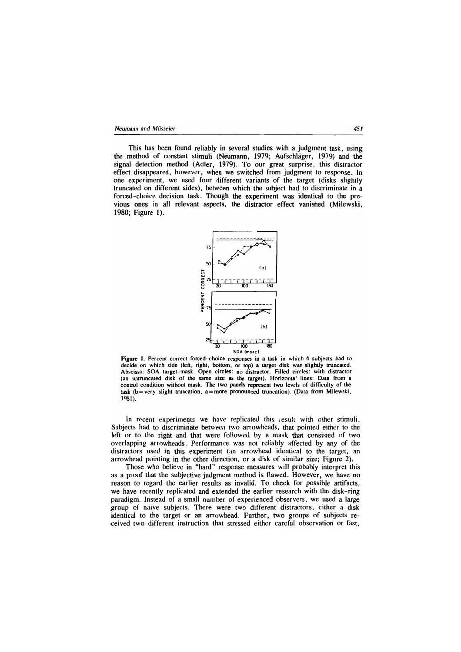Neumann and Müsseler

This has been found reliably in several studies with a judgment task, using the method of constant stimuli (Neumann, 1979; Aufschläger, 1979) and the signal detection method (Adler, 1979). To our great surprise, this distractor effect disappeared, however, when we switched from judgment to response. In one experiment, we used four different variants of the target (disks slightly truncated on different sides), between which the subject had to discriminate in a forced-choice decision task. Though the experiment was identical to the previous ones in all relevant aspects, the distractor effect vanished (Milewski, 1980; Figure 1).



Figure 1. Percent correct forced-choice responses in a task in which 6 subjects had to decide on which side (left, right, bottom, or top) a target disk was slightly truncated. Abscissa: SOA target-mask. Open circles: no distractor. Filled circles: with distractor (an untruncated disk of the same size as the target). Horizontal lines: Data from a control condition without mask. The two panels represent two levels of difficulty of the task ( $b$  = very slight truncation,  $a$  = more pronounced truncation). (Data from Milewski, 1981).

In recent experiments we have replicated this result with other stimuli. Subjects had to discriminate between two arrowheads, that pointed either to the left or to the right and that were followed by a mask that consisted of two overlapping arrowheads. Performance was not reliably affected by any of the distractors used in this experiment (an arrowhead identical to the target, an arrowhead pointing in the other direction, or a disk of similar size; Figure 2).

Those who believe in "hard" response measures will probably interpret this as a proof that the subjective judgment method is flawed. However, we have no reason to regard the earlier results as invalid. To check for possible artifacts, we have recently replicated and extended the earlier research with the disk-ring paradigm. Instead of a small number of experienced observers, we used a large group of naive subjects. There were two different distractors, either a disk identical to the target or an arrowhead. Further, two groups of subjects received two different instruction that stressed either careful observation or fast,

 $451$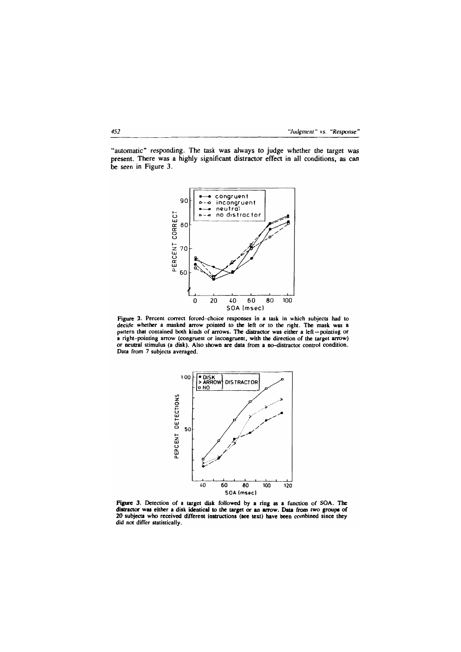

"automatic" responding. The task was always to judge whether the target was present. There was a highly significant distractor effect in all conditions, as can be seen in Figure 3.



Figure 2. Percent correct forced-choice responses in a task in which subjects had to decide whether a masked arrow pointed to the left or to the right. The mask was a pattern that contained both kinds of arrows. The distra a right-pointing arrow (congruent or incongruent, with the direction of the target arrow)<br>or neutral stimulus (a disk). Also shown are data from a no-distractor control condition. Data from 7 subjects averaged.



Figure 3. Detection of a target disk followed by a ring as a function of SOA. The distractor was either a disk identical to the target or an arrow. Data from two groups of 20 subjects who received different instructions (s did not differ statistically.

 $452$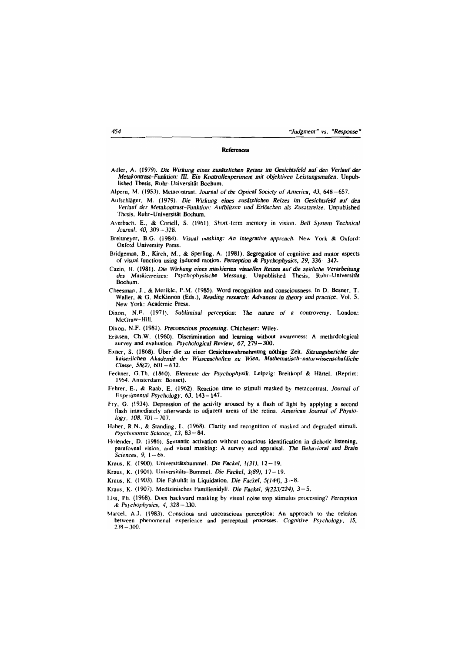|  | "Judgment" vs. |  | "Response" |
|--|----------------|--|------------|
|  |                |  |            |

#### References

- Adler, A. (1979). Die Wirkung eines zusätzlichen Reizes im Gesichtsfeld auf den Verlauf der Metakontrast-Funktion: III. Ein Kontrollexperiment mit objektiven Leistungsmaßen. Unpublished Thesis, Ruhr-Universität Bochum.
- Alpern, M. (1953). Metacontrast. Journal of the Optical Society of America, 43, 648–657.
- Aufschläger, M. (1979). Die Wirkung eines zusätzlichen Reizes im Gesichtsfeld auf den Verlauf der Metakontrast-Funktion: Aufblitzen und Erlöschen als Zusatzreize. Unpublished Thesis, Ruhr-Universität Bochum.
- Averbach, E., & Coriell, S. (1961). Short-term memory in vision. Bell System Technical Journal, 40, 309 - 328.
- Breitmeyer, B.G. (1984). Visual masking: An integrative approach. New York & Oxford: Oxford University Press.
- Bridgeman, B., Kirch, M., & Sperling, A. (1981). Segregation of cognitive and motor aspects of visual function using induced motion. Perception & Psychophysics, 29, 336-342.
- Cazin, H. (1981). Die Wirkung eines maskierten visuellen Reizes auf die zeitliche Verarbeitung des Maskierreizes: Psychophysische Messung. Unpublished Thesis, Ruhr-Universität Bochum.
- Cheesman, J., & Merikle, P.M. (1985). Word recognition and consciousness. In D. Besner, T. Waller, & G. McKinnon (Eds.), Reading research: Advances in theory and practice, Vol. 5. New York: Academic Press.
- Dixon, N.F. (1971). Subliminal perception: The nature of a controversy. London: McGraw-Hill.
- Dixon, N.F. (1981). Preconscious processing. Chichester: Wiley.
- Eriksen, Ch.W. (1960). Discrimination and learning without awareness: A methodological survey and evaluation. Psychological Review, 67, 279-300.
- Exner, S. (1868). Über die zu einer Gesichtswahrnehmung nöthige Zeit. Sitzungsberichte der kaiserlichen Akademie der Wissenschaften zu Wien, Mathematisch-naturwissenschaftliche Classe,  $58(2)$ ,  $601 - 632$ .
- Fechner, G.Th. (1860). Elemente der Psychophysik. Leipzig: Breitkopf & Härtel. (Reprint: 1964. Amsterdam: Bonset).
- Fehrer, E., & Raab, E. (1962). Reaction time to stimuli masked by metacontrast. Journal of Experimental Psychology, 63, 143-147.
- Fry, G. (1934). Depression of the activity aroused by a flash of light by applying a second flash immediately afterwards to adjacent areas of the retina. American Journal of Physio $logy$ , 108, 701 - 707.
- Haber, R.N., & Standing, L. (1968). Clarity and recognition of masked and degraded stimuli. Psychonomic Science, 13, 83-84.
- Holender, D. (1986). Semantic activation without conscious identification in dichotic listening, parafoveal vision, and visual masking: A survey and appraisal. The Behavioral and Brain Sciences,  $9, 1-66$ .
- Kraus, K. (1900). Universitätsbummel. Die Fackel, 1(31), 12-19.
- Kraus, K. (1901). Universitäts-Bummel. Die Fackel, 3(89), 17-19.
- Kraus, K. (1903). Die Fakultät in Liquidation. Die Fackel, 5(144), 3-8.
- Kraus, K. (1907). Medizinisches Familienidyll. Die Fackel, 9(223/224), 3-5.
- Liss, Ph. (1968). Does backward masking by visual noise stop stimulus processing? Perception & Psychophysics, 4,  $328 - 330$ .
- Marcel, A.J. (1983). Conscious and unconscious perception: An approach to the relation between phenomenal experience and perceptual processes. Cognitive Psychology, 15,  $238 - 300$

454